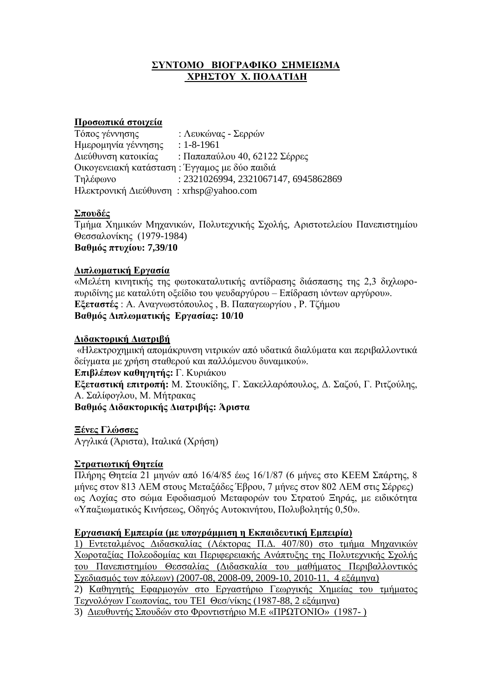# ΣΥΝΤΟΜΟ ΒΙΟΓΡΑΦΙΚΟ ΣΗΜΕΙΩΜΑ **ΧΡΗΣΤΟΥ Χ. ΠΟΛΑΤΙΔΗ**

#### **Προσωπικά στοιγεία**

| Τόπος γέννησης                                | : Λευκώνας - Σερρών                  |
|-----------------------------------------------|--------------------------------------|
| Ημερομηνία γέννησης                           | $: 1 - 8 - 1961$                     |
| Διεύθυνση κατοικίας                           | : Παπαπαύλου 40, 62122 Σέρρες        |
| Οικογενειακή κατάσταση: Έγγαμος με δύο παιδιά |                                      |
| Τηλέφωνο                                      | : 2321026994, 2321067147, 6945862869 |
| Hλεκτρονική Διεύθυνση: xrhsp@yahoo.com        |                                      |

## **ποςδέρ**

Τμήμα Χημικών Μηχανικών, Πολυτεχνικής Σχολής, Αριστοτελείου Πανεπιστημίου Θεσσαλονίκης (1979-1984) **Βαθμός πτυχίου: 7,39/10** 

# **Γιπλωμαηική Δπγαζία**

«Μελέτη κινητικής της φωτοκαταλυτικής αντίδρασης διάσπασης της 2,3 διχλωροπυριδίνης με καταλύτη οξείδιο του ψευδαργύρου – Επίδραση ιόντων αργύρου». **Εξεταστές** : Α. Αναγνωστόπουλος, Β. Παπαγεωργίου, Ρ. Τζήμου **Βαθμός Διπλωματικής Εργασίας: 10/10** 

## **Γιδακηοπική Γιαηπιβή**

«Ηλεκτροχημική απομάκρυνση νιτρικών από υδατικά διαλύματα και περιβαλλοντικά δείγματα με χρήση σταθερού και παλλόμενου δυναμικού».

**Επιβλέπων καθηγητής:** Γ. Κυριάκου

**Εξεταστική επιτροπή:** Μ. Στουκίδης, Γ. Σακελλαρόπουλος, Δ. Σαζού, Γ. Ριτζούλης, Α. Σαλίφογλου, Μ. Μήτρακας

**Βαθμός Διδακτορικής Διατριβής: Άριστα** 

**Ξένες Γλώσσες** 

Αγγλικά (Άριστα), Ιταλικά (Χρήση)

## Στρατιωτική Θητεία

Πλήρης Θητεία 21 μηνών από 16/4/85 έως 16/1/87 (6 μήνες στο ΚΕΕΜ Σπάρτης, 8 μήνες στον 813 ΛΕΜ στους Μεταξάδες Έβρου, 7 μήνες στον 802 ΛΕΜ στις Σέρρες) ως Λογίας στο σώμα Εφοδιασμού Μεταφορών του Στρατού Ξηράς, με ειδικότητα «Υπαξιωματικός Κινήσεως, Οδηγός Αυτοκινήτου, Πολυβολητής 0,50».

## **Εργασιακή Εμπειρία (με υπογράμμιση η Εκπαιδευτική Εμπειρία)**

1) Εντεταλμένος Διδασκαλίας (Λέκτορας Π.Δ. 407/80) στο τμήμα Μηγανικών Χωροταξίας Πολεοδομίας και Περιφερειακής Ανάπτυξης της Πολυτεχνικής Σχολής του Πανεπιστημίου Θεσσαλίας (Διδασκαλία του μαθήματος Περιβαλλοντικός Σχεδιασμός των πόλεων) (2007-08, 2008-09, 2009-10, 2010-11, 4 εξάμηνα) 2) Καθηγητής Εφαρμογών στο Εργαστήριο Γεωργικής Χημείας του τμήματος Τεχνολόγων Γεωπονίας, του ΤΕΙ Θεσ/νίκης (1987-88, 2 εξάμηνα) 3) Διευθυντής Σπουδών στο Φροντιστήριο Μ.Ε «ΠΡΩΤΟΝΙΟ» (1987-)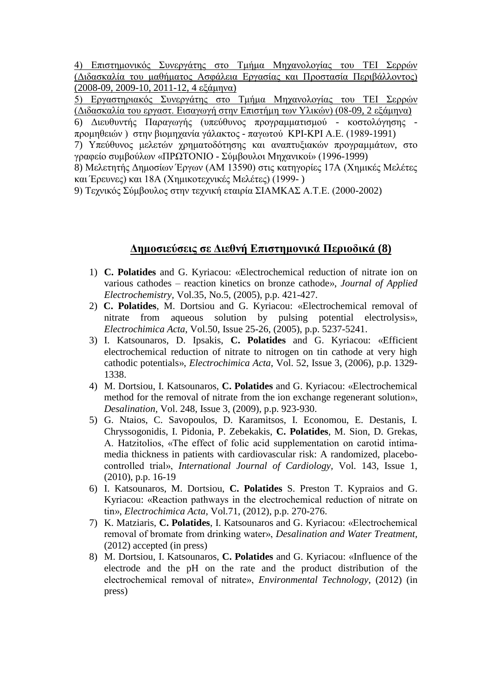4) Επιστημονικός Συνεργάτης στο Τμήμα Μηχανολογίας του ΤΕΙ Σερρών (Διδασκαλία του μαθήματος Ασφάλεια Εργασίας και Προστασία Περιβάλλοντος)  $(2008-09, 2009-10, 2011-12, 4 \varepsilon \xi \alpha \mu \eta \nu \alpha)$ 

5) Εργαστηριακός Συνεργάτης στο Τμήμα Μηχανολογίας του ΤΕΙ Σερρών (Διδασκαλία του εργαστ. Εισαγωγή στην Επιστήμη των Υλικών) (08-09, 2 εξάμηνα)

6) Διευθυντής Παραγωγής (υπεύθυνος προγραμματισμού - κοστολόγησης προμηθειών) στην βιομηχανία γάλακτος - παγωτού ΚΡΙ-ΚΡΙ Α.Ε. (1989-1991)

7) Υπεύθυνος μελετών χρηματοδότησης και αναπτυξιακών προγραμμάτων, στο γραφείο συμβούλων «ΠΡΩΤΟΝΙΟ - Σύμβουλοι Μηχανικοί» (1996-1999)

8) Μελετητής Δημοσίων Έργων (ΑΜ 13590) στις κατηγορίες 17Α (Χημικές Μελέτες και Έρευνες) και 18Α (Χημικοτεχνικές Μελέτες) (1999-)

9) Τεχνικός Σύμβουλος στην τεχνική εταιρία ΣΙΑΜΚΑΣ Α.Τ.Ε. (2000-2002)

# **Δημοσιεύσεις σε Διεθνή Επιστημονικά Περιοδικά (8)**

- 1) **C. Polatides** and G. Kyriacou: «Electrochemical reduction of nitrate ion on various cathodes – reaction kinetics on bronze cathode», *Journal of Applied Electrochemistry,* Vol.35, No.5, (2005), p.p. 421-427.
- 2) **C. Polatides**, M. Dortsiou and G. Kyriacou: «Electrochemical removal of nitrate from aqueous solution by pulsing potential electrolysis», *Electrochimica Acta*, Vol.50, Issue 25-26, (2005), p.p. 5237-5241.
- 3) I. Katsounaros, D. Ipsakis, **C. Polatides** and G. Kyriacou: «Efficient electrochemical reduction of nitrate to nitrogen on tin cathode at very high cathodic potentials», *Electrochimica Acta*, Vol. 52, Issue 3, (2006), p.p. 1329- 1338.
- 4) M. Dortsiou, I. Katsounaros, **C. Polatides** and G. Kyriacou: «Electrochemical method for the removal of nitrate from the ion exchange regenerant solution», *Desalination,* Vol. 248, Issue 3, (2009), p.p. 923-930.
- 5) G. Ntaios, C. Savopoulos, D. Karamitsos, I. Economou, E. Destanis, I. Chryssogonidis, I. Pidonia, P. Zebekakis, **C. Polatides**, M. Sion, D. Grekas, A. Hatzitolios, «The effect of folic acid supplementation on carotid intimamedia thickness in patients with cardiovascular risk: A randomized, placebocontrolled trial», *International Journal of Cardiology,* Vol. 143, Issue 1, (2010), p.p. 16-19
- 6) I. Katsounaros, M. Dortsiou, **C. Polatides** S. Preston T. Kypraios and G. Kyriacou: «Reaction pathways in the electrochemical reduction of nitrate on tin», *Electrochimica Acta,* Vol.71, (2012), p.p. 270-276.
- 7) K. Matziaris, **C. Polatides**, I. Katsounaros and G. Kyriacou: «Electrochemical removal of bromate from drinking water», *Desalination and Water Treatment,* (2012) accepted (in press)
- 8) M. Dortsiou, I. Katsounaros, **C. Polatides** and G. Kyriacou: «Influence of the electrode and the pH on the rate and the product distribution of the electrochemical removal of nitrate», *Environmental Technology*, (2012) (in press)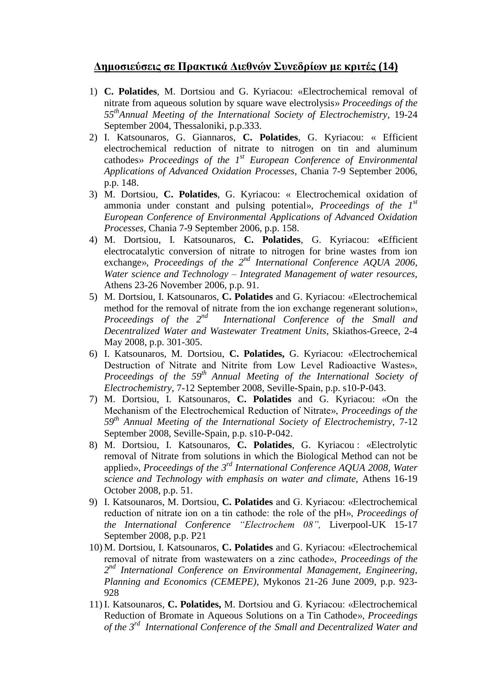# *Δημοσιεύσεις σε Πρακτικά Διεθνών Συνεδρίων με κριτές (14)*

- 1) **C. Polatides**, M. Dortsiou and G. Kyriacou: «Electrochemical removal of nitrate from aqueous solution by square wave electrolysis» *Proceedings of the 55thAnnual Meeting of the International Society of Electrochemistry*, 19-24 September 2004, Thessaloniki, p.p.333.
- 2) I. Katsounaros, G. Giannaros, **C. Polatides**, G. Kyriacou: « Efficient electrochemical reduction of nitrate to nitrogen on tin and aluminum cathodes» *Proceedings of the 1st European Conference of Environmental Applications of Advanced Oxidation Processes*, Chania 7-9 September 2006, p.p. 148.
- 3) M. Dortsiou, **C. Polatides**, G. Kyriacou: « Electrochemical oxidation of ammonia under constant and pulsing potential», *Proceedings of the 1st European Conference of Environmental Applications of Advanced Oxidation Processes*, Chania 7-9 September 2006, p.p. 158.
- 4) M. Dortsiou, I. Katsounaros, **C. Polatides**, G. Kyriacou: **«**Efficient electrocatalytic conversion of nitrate to nitrogen for brine wastes from ion exchange», *Proceedings of the 2nd International Conference AQUA 2006, Water science and Technology – Integrated Management of water resources,* Athens 23-26 November 2006, p.p. 91.
- 5) M. Dortsiou, I. Katsounaros, **C. Polatides** and G. Kyriacou: «Electrochemical method for the removal of nitrate from the ion exchange regenerant solution», *Proceedings of the 2nd International Conference of the Small and Decentralized Water and Wastewater Treatment Units,* Skiathos-Greece, 2-4 May 2008, p.p. 301-305.
- 6) I. Katsounaros, M. Dortsiou, **C. Polatides,** G. Kyriacou: «Electrochemical Destruction of Nitrate and Nitrite from Low Level Radioactive Wastes», Proceedings of the 59<sup>th</sup> Annual Meeting of the International Society of *Electrochemistry*, 7-12 September 2008, Seville-Spain, p.p. s10-P-043.
- 7) M. Dortsiou, I. Katsounaros, **C. Polatides** and G. Kyriacou: «On the Mechanism of the Electrochemical Reduction of Nitrate», *Proceedings of the 59th Annual Meeting of the International Society of Electrochemistry*, 7-12 September 2008, Seville-Spain, p.p. s10-P-042.
- 8) M. Dortsiou, I. Katsounaros, **C. Polatides**, G. Kyriacou : «Electrolytic removal of Nitrate from solutions in which the Biological Method can not be applied», Proceedings of the 3<sup>rd</sup> International Conference AQUA 2008, Water *science and Technology with emphasis on water and climate,* Athens 16-19 October 2008, p.p. 51.
- 9) I. Katsounaros, M. Dortsiou, **C. Polatides** and G. Kyriacou: «Electrochemical reduction of nitrate ion on a tin cathode: the role of the pH», *Proceedings of the International Conference "Electrochem 08",* Liverpool-UK 15-17 September 2008, p.p. P21
- 10) M. Dortsiou, I. Katsounaros, **C. Polatides** and G. Kyriacou: «Electrochemical removal of nitrate from wastewaters on a zinc cathode», *Proceedings of the 2 nd International Conference on Environmental Management, Engineering, Planning and Economics (CEMEPE)*, Mykonos 21-26 June 2009, p.p. 923- 928
- 11) I. Katsounaros, **C. Polatides,** M. Dortsiou and G. Kyriacou: «Electrochemical Reduction of Bromate in Aqueous Solutions on a Tin Cathode», *Proceedings of the 3rd International Conference of the Small and Decentralized Water and*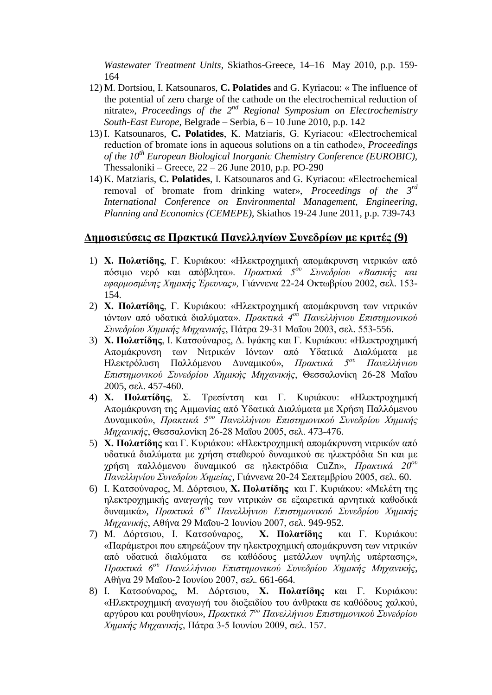*Wastewater Treatment Units,* Skiathos-Greece, 14–16 May 2010, p.p. 159- 164

- 12) M. Dortsiou, I. Katsounaros, **C. Polatides** and G. Kyriacou: « The influence of the potential of zero charge of the cathode on the electrochemical reduction of nitrate», Proceedings of the 2<sup>nd</sup> Regional Symposium on Electrochemistry *South-East Europe*, Belgrade – Serbia, 6 – 10 June 2010, p.p. 142
- 13) I. Katsounaros, **C. Polatides**, K. Matziaris, G. Kyriacou: «Electrochemical reduction of bromate ions in aqueous solutions on a tin cathode», *Proceedings of the 10th European Biological Inorganic Chemistry Conference (EUROBIC),* Thessaloniki – Greece, 22 – 26 June 2010, p.p. PO-290
- 14) K. Matziaris, **C. Polatides**, I. Katsounaros and G. Kyriacou: «Electrochemical removal of bromate from drinking water», *Proceedings of the 3<sup>rd</sup> International Conference on Environmental Management, Engineering, Planning and Economics (CEMEPE)*, Skiathos 19-24 June 2011, p.p. 739-743

# **Δημοσιεύσεις σε Πρακτικά Πανελληνίων Συνεδρίων με κριτές (9)**

- 1) **Χ. Πολατίδης**, Γ. Κυριάκου: «Ηλεκτροχημική απομάκρυνση νιτρικών από πόσιμο νερό και απόβλητα». *Πρακτικά 5<sup>ου</sup> Συνεδρίου «Βασικής και εφαρμοσμένης Χημικής Έρευνας», Γιάννενα 22-24 Οκτωβρίου 2002, σελ. 153-*154.
- 2) **Χ. Πολατίδης**, Γ. Κυριάκου: «Ηλεκτροχημική απομάκρυνση των νιτρικών ηόλησλ από πδαηηθά δηαιύκαηα». *Ππακηικά 4ος Πανελλήνιος Επιζηημονικού Συνεδρίου Χημικής Μηχανικής*, Πάτρα 29-31 Μαΐου 2003, σελ. 553-556.
- 3) **Χ. Πολατίδης**, Ι. Κατσούναρος, Δ. Ιψάκης και Γ. Κυριάκου: «Ηλεκτροχημική Απομάκρυνση των Νιτρικών Ιόντων από Υδατικά Διαλύματα με Ηλεκτρόλυση Παλλόμενου Δυναμικού», *Πρακτικά 5<sup>ου</sup> Πανελλήνιου Επιστημονικού Συνεδρίου Χημικής Μηχανικής*, Θεσσαλονίκη 26-28 Μαΐου 2005, σελ. 457-460.<br>**X.** Πολατίδης, Σ.
- 4) **Χ. Πολατίδης**, Σ. Τρεσίντση και Γ. Κυριάκου: «Ηλεκτροχημική Απομάκρυνση της Αμμωνίας από Υδατικά Διαλύματα με Χρήση Παλλόμενου Δυναμικού», Πρακτικά 5<sup>ου</sup> Πανελλήνιου Επιστημονικού Συνεδρίου Χημικής *Μηχανικής*, Θεσσαλονίκη 26-28 Μαΐου 2005, σελ. 473-476.
- 5) **Χ. Πολατίδης** και Γ. Κυριάκου: «Ηλεκτροχημική απομάκρυνση νιτρικών από υδατικά διαλύματα με χρήση σταθερού δυναμικού σε ηλεκτρόδια Sn και με ρξήζε παιιόκελνπ δπλακηθνύ ζε ειεθηξόδηα CuZn», *Ππακηικά 20ος Πανελληνίου Συνεδρίου Χημείας, Γιάννενα 20-24 Σεπτεμβρίου 2005, σελ. 60.*
- 6) Ι. Κατσούναρος, Μ. Δόρτσιου, **Χ. Πολατίδης** και Γ. Κυριάκου: «Μελέτη της ηλεκτροχημικής αναγωγής των νιτρικών σε εξαιρετικά αρνητικά καθοδικά δυναμικά», *Πρακτικά 6<sup>ου</sup> Πανελλήνιου Επιστημονικού Συνεδρίου Χημικής Μηχανικής*, Αθήνα 29 Μαΐου-2 Ιουνίου 2007, σελ. 949-952.
- 7) Μ. Δόρτσιου, Ι. Κατσούναρος, **Χ. Πολατίδης** και Γ. Κυριάκου: «Παράμετροι που επηρεάζουν την ηλεκτροχημική απομάκρυνση των νιτρικών από υδατικά διαλύματα σε καθόδους μετάλλων υψηλής υπέρτασης», *Ππακηικά 6ος Πανελλήνιος Επιζηημονικού Σςνεδπίος Χημικήρ Μησανικήρ*, Αθήνα 29 Μαΐου-2 Ιουνίου 2007, σελ. 661-664.
- 8) Ι. Κατσούναρος, Μ. Δόρτσιου, **Χ. Πολατίδης** και Γ. Κυριάκου: «Ηλεκτροχημική αναγωγή του διοξειδίου του άνθρακα σε καθόδους χαλκού, αργύρου και ρουθηνίου», *Πρακτικά 7<sup>ου</sup> Πανελλήνιου Επιστημονικού Συνεδρίου Χημικής Μηχανικής*, Πάτρα 3-5 Ιουνίου 2009, σελ. 157.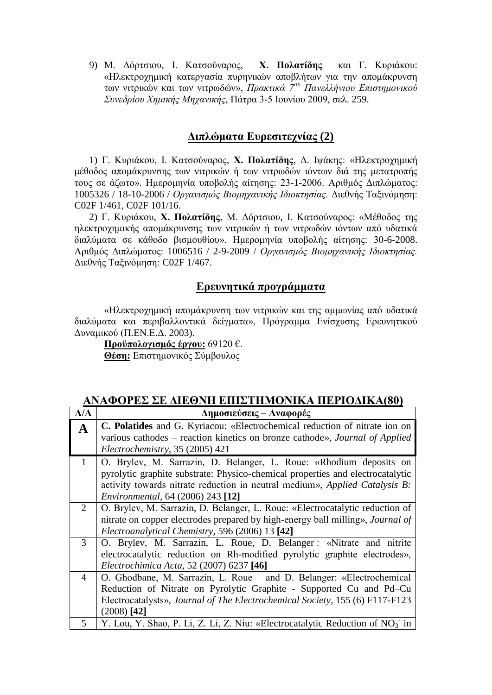9) Μ. Δόρτσιου, Ι. Κατσούναρος, **Χ. Πολατίδης** και Γ. Κυριάκου: «Ηλεκτροχημική κατεργασία πυρηνικών αποβλήτων για την απομάκρυνση ησλ ληηξηθώλ θαη ησλ ληηξσδώλ», *Ππακηικά 7ος Πανελλήνιος Επιζηημονικού Συνεδρίου Χημικής Μηχανικής*, Πάτρα 3-5 Ιουνίου 2009, σελ. 259.

# **Γιπλώμαηα Δςπεζιηεσνίαρ (2)**

1) Γ. Κυριάκου, Ι. Κατσούναρος, **Χ. Πολατίδης**, Δ. Ιψάκης: «Ηλεκτροχημική μέθοδος απομάκρυνσης των νιτρικών ή των νιτρωδών ιόντων διά της μετατροπής τους σε άζωτο». Ημερομηνία υποβολής αίτησης: 23-1-2006. Αριθμός Διπλώματος: 1005326 / 18-10-2006 / *Οργανισμός Βιομηγανικής Ιδιοκτησίας*. Διεθνής Ταξινόμηση: C02F 1/461, C02F 101/16.

2) Γ. Κυριάκου, **Χ. Πολατίδης**, Μ. Δόρτσιου, Ι. Κατσούναρος: «Μέθοδος της ηλεκτροχημικής απομάκρυνσης των νιτρικών ή των νιτρωδών ιόντων από υδατικά διαλύματα σε κάθοδο βισμουθίου». Ημερομηνία υποβολής αίτησης: 30-6-2008. Αριθμός Διπλώματος: 1006516 / 2-9-2009 / *Οργανισμός Βιομηχανικής Ιδιοκτησίας*. Διεθνής Ταξινόμηση: C02F 1/467.

# **Δπεςνηηικά ππογπάμμαηα**

«Ηλεκτροχημική απομάκρυνση των νιτρικών και της αμμωνίας από υδατικά διαλύματα και περιβαλλοντικά δείγματα», Πρόγραμμα Ενίσχυσης Ερευνητικού Δυναμικού (Π.ΕΝ.Ε.Δ. 2003).

Προϋπολογισμός έργου: 69120 €. Θέση: Επιστημονικός Σύμβουλος

| ΑΝΑΦΌΓΕΖ ΖΕ ΔΙΕΘΝΉ ΕΠΙΖΤΗΜΟΝΙΝΆ ΠΕΓΙΟΔΙΝΆ(ΟΥ) |                                                                                   |  |  |
|-----------------------------------------------|-----------------------------------------------------------------------------------|--|--|
| A/A                                           | Δημοσιεύσεις – Αναφορές                                                           |  |  |
| $\mathbf A$                                   | <b>C. Polatides</b> and G. Kyriacou: «Electrochemical reduction of nitrate ion on |  |  |
|                                               | various cathodes – reaction kinetics on bronze cathode», Journal of Applied       |  |  |
|                                               | Electrochemistry, 35 (2005) 421                                                   |  |  |
| $\mathbf{1}$                                  | O. Brylev, M. Sarrazin, D. Belanger, L. Roue: «Rhodium deposits on                |  |  |
|                                               | pyrolytic graphite substrate: Physico-chemical properties and electrocatalytic    |  |  |
|                                               | activity towards nitrate reduction in neutral medium», Applied Catalysis B:       |  |  |
|                                               | <i>Environmental, 64 (2006) 243 [12]</i>                                          |  |  |
| 2                                             | O. Brylev, M. Sarrazin, D. Belanger, L. Roue: «Electrocatalytic reduction of      |  |  |
|                                               | nitrate on copper electrodes prepared by high-energy ball milling», Journal of    |  |  |
|                                               | Electroanalytical Chemistry, 596 (2006) 13 [42]                                   |  |  |
| 3                                             | O. Brylev, M. Sarrazin, L. Roue, D. Belanger: «Nitrate and nitrite                |  |  |
|                                               | electrocatalytic reduction on Rh-modified pyrolytic graphite electrodes»,         |  |  |
|                                               | Electrochimica Acta, 52 (2007) 6237 [46]                                          |  |  |
| 4                                             | O. Ghodbane, M. Sarrazin, L. Roue and D. Belanger: «Electrochemical               |  |  |
|                                               | Reduction of Nitrate on Pyrolytic Graphite - Supported Cu and Pd–Cu               |  |  |
|                                               | Electrocatalysts», Journal of The Electrochemical Society, 155 (6) F117-F123      |  |  |
|                                               | $(2008)$ [42]                                                                     |  |  |
| 5                                             | Y. Lou, Y. Shao, P. Li, Z. Li, Z. Niu: «Electrocatalytic Reduction of $NO3$ in    |  |  |

# ΑΝΑΦΟΡΕΣ ΣΕ ΑΙΕΩΝΗ ΕΠΙΣΤΗΜΟΝΙΚΑ ΠΕΡΙΟΛΙΚΑ*(90*)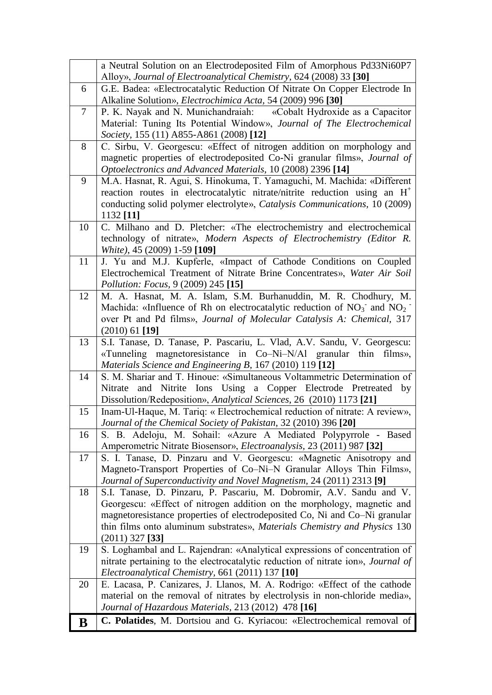|        | a Neutral Solution on an Electrodeposited Film of Amorphous Pd33Ni60P7                                                                             |
|--------|----------------------------------------------------------------------------------------------------------------------------------------------------|
|        | Alloy», Journal of Electroanalytical Chemistry, 624 (2008) 33 [30]                                                                                 |
| 6      | G.E. Badea: «Electrocatalytic Reduction Of Nitrate On Copper Electrode In<br>Alkaline Solution», Electrochimica Acta, 54 (2009) 996 [30]           |
| $\tau$ | P. K. Nayak and N. Munichandraiah: «Cobalt Hydroxide as a Capacitor                                                                                |
|        | Material: Tuning Its Potential Window», Journal of The Electrochemical                                                                             |
|        | Society, 155 (11) A855-A861 (2008) [12]                                                                                                            |
| 8      | C. Sirbu, V. Georgescu: «Effect of nitrogen addition on morphology and                                                                             |
|        | magnetic properties of electrodeposited Co-Ni granular films», Journal of                                                                          |
|        | Optoelectronics and Advanced Materials, 10 (2008) 2396 [14]                                                                                        |
| 9      | M.A. Hasnat, R. Agui, S. Hinokuma, T. Yamaguchi, M. Machida: «Different                                                                            |
|        | reaction routes in electrocatalytic nitrate/nitrite reduction using an $H^+$                                                                       |
|        | conducting solid polymer electrolyte», Catalysis Communications, 10 (2009)                                                                         |
|        | 1132 [11]                                                                                                                                          |
| 10     | C. Milhano and D. Pletcher: «The electrochemistry and electrochemical                                                                              |
|        | technology of nitrate», Modern Aspects of Electrochemistry (Editor R.                                                                              |
|        | White), 45 (2009) 1-59 [109]                                                                                                                       |
| 11     | J. Yu and M.J. Kupferle, «Impact of Cathode Conditions on Coupled                                                                                  |
|        | Electrochemical Treatment of Nitrate Brine Concentrates», Water Air Soil                                                                           |
|        | Pollution: Focus, 9 (2009) 245 [15]                                                                                                                |
| 12     | M. A. Hasnat, M. A. Islam, S.M. Burhanuddin, M. R. Chodhury, M.                                                                                    |
|        | Machida: «Influence of Rh on electrocatalytic reduction of $NO_3^-$ and $NO_2^-$                                                                   |
|        | over Pt and Pd films», Journal of Molecular Catalysis A: Chemical, 317                                                                             |
|        | $(2010)$ 61 [19]                                                                                                                                   |
| 13     | S.I. Tanase, D. Tanase, P. Pascariu, L. Vlad, A.V. Sandu, V. Georgescu:                                                                            |
|        | «Tunneling magnetoresistance in Co-Ni-N/Al granular thin films»,                                                                                   |
|        | Materials Science and Engineering B, 167 (2010) 119 [12]                                                                                           |
| 14     | S. M. Shariar and T. Hinoue: «Simultaneous Voltammetric Determination of                                                                           |
|        | Nitrate and Nitrite Ions Using a Copper Electrode Pretreated by                                                                                    |
| 15     | Dissolution/Redeposition», Analytical Sciences, 26 (2010) 1173 [21]<br>Inam-Ul-Haque, M. Tariq: « Electrochemical reduction of nitrate: A review», |
|        | Journal of the Chemical Society of Pakistan, 32 (2010) 396 [20]                                                                                    |
| 16     | S. B. Adeloju, M. Sohail: «Azure A Mediated Polypyrrole - Based                                                                                    |
|        | Amperometric Nitrate Biosensor», Electroanalysis, 23 (2011) 987 [32]                                                                               |
| 17     | S. I. Tanase, D. Pinzaru and V. Georgescu: «Magnetic Anisotropy and                                                                                |
|        | Magneto-Transport Properties of Co-Ni-N Granular Alloys Thin Films»,                                                                               |
|        | Journal of Superconductivity and Novel Magnetism, 24 (2011) 2313 [9]                                                                               |
| 18     | S.I. Tanase, D. Pinzaru, P. Pascariu, M. Dobromir, A.V. Sandu and V.                                                                               |
|        | Georgescu: «Effect of nitrogen addition on the morphology, magnetic and                                                                            |
|        | magnetoresistance properties of electrodeposited Co, Ni and Co-Ni granular                                                                         |
|        | thin films onto aluminum substrates», Materials Chemistry and Physics 130                                                                          |
|        | $(2011)$ 327 [33]                                                                                                                                  |
| 19     | S. Loghambal and L. Rajendran: «Analytical expressions of concentration of                                                                         |
|        | nitrate pertaining to the electrocatalytic reduction of nitrate ion», Journal of                                                                   |
|        | Electroanalytical Chemistry, 661 (2011) 137 [10]                                                                                                   |
| 20     | E. Lacasa, P. Canizares, J. Llanos, M. A. Rodrigo: «Effect of the cathode                                                                          |
|        | material on the removal of nitrates by electrolysis in non-chloride media»,                                                                        |
|        | Journal of Hazardous Materials, 213 (2012) 478 [16]                                                                                                |
| B      | C. Polatides, M. Dortsiou and G. Kyriacou: «Electrochemical removal of                                                                             |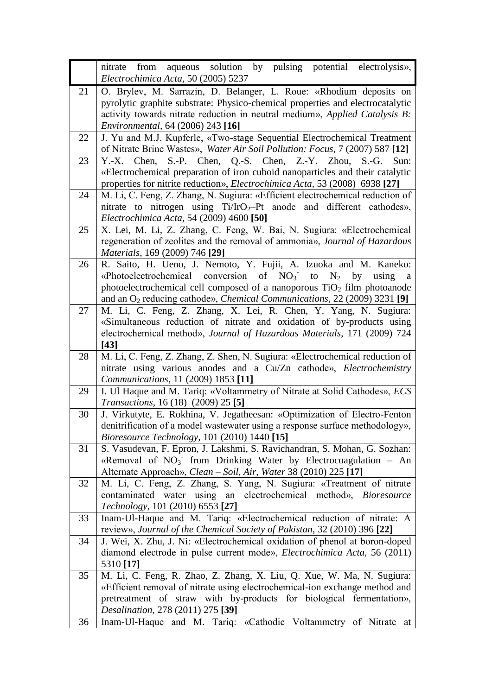|    | aqueous solution by pulsing potential electrolysis»,<br>nitrate from                                                                                      |  |  |
|----|-----------------------------------------------------------------------------------------------------------------------------------------------------------|--|--|
|    | Electrochimica Acta, 50 (2005) 5237                                                                                                                       |  |  |
| 21 | O. Brylev, M. Sarrazin, D. Belanger, L. Roue: «Rhodium deposits on                                                                                        |  |  |
|    | pyrolytic graphite substrate: Physico-chemical properties and electrocatalytic                                                                            |  |  |
|    | activity towards nitrate reduction in neutral medium», Applied Catalysis B:                                                                               |  |  |
|    | Environmental, 64 (2006) 243 [16]                                                                                                                         |  |  |
| 22 | J. Yu and M.J. Kupferle, «Two-stage Sequential Electrochemical Treatment                                                                                  |  |  |
|    | of Nitrate Brine Wastes», Water Air Soil Pollution: Focus, 7 (2007) 587 [12]                                                                              |  |  |
| 23 | Y.-X. Chen, S.-P. Chen, Q.-S. Chen, Z.-Y. Zhou,<br>$S.-G.$<br>Sun:                                                                                        |  |  |
|    | «Electrochemical preparation of iron cuboid nanoparticles and their catalytic                                                                             |  |  |
|    | properties for nitrite reduction», <i>Electrochimica Acta</i> , 53 (2008) 6938 [27]                                                                       |  |  |
| 24 | M. Li, C. Feng, Z. Zhang, N. Sugiura: «Efficient electrochemical reduction of                                                                             |  |  |
|    | nitrate to nitrogen using $Ti/IrO_2-Pt$ anode and different cathodes»,                                                                                    |  |  |
|    | Electrochimica Acta, 54 (2009) 4600 [50]                                                                                                                  |  |  |
| 25 | X. Lei, M. Li, Z. Zhang, C. Feng, W. Bai, N. Sugiura: «Electrochemical                                                                                    |  |  |
|    | regeneration of zeolites and the removal of ammonia», Journal of Hazardous                                                                                |  |  |
|    | <i>Materials</i> , 169 (2009) 746 [29]                                                                                                                    |  |  |
| 26 | R. Saito, H. Ueno, J. Nemoto, Y. Fujii, A. Izuoka and M. Kaneko:                                                                                          |  |  |
|    | «Photoelectrochemical conversion of $NO3$ to<br>$N_2$<br>by<br>using<br>a                                                                                 |  |  |
|    | photoelectrochemical cell composed of a nanoporous $TiO2$ film photoanode                                                                                 |  |  |
|    | and an O <sub>2</sub> reducing cathode», <i>Chemical Communications</i> , 22 (2009) 3231 [9]                                                              |  |  |
| 27 | M. Li, C. Feng, Z. Zhang, X. Lei, R. Chen, Y. Yang, N. Sugiura:                                                                                           |  |  |
|    | «Simultaneous reduction of nitrate and oxidation of by-products using                                                                                     |  |  |
|    | electrochemical method», Journal of Hazardous Materials, 171 (2009) 724                                                                                   |  |  |
|    | $[43]$                                                                                                                                                    |  |  |
| 28 | M. Li, C. Feng, Z. Zhang, Z. Shen, N. Sugiura: «Electrochemical reduction of                                                                              |  |  |
|    | nitrate using various anodes and a Cu/Zn cathode», Electrochemistry                                                                                       |  |  |
|    | Communications, 11 (2009) 1853 [11]                                                                                                                       |  |  |
| 29 | I. Ul Haque and M. Tariq: «Voltammetry of Nitrate at Solid Cathodes», ECS<br><i>Transactions</i> , 16 (18) (2009) 25 [5]                                  |  |  |
| 30 |                                                                                                                                                           |  |  |
|    | J. Virkutyte, E. Rokhina, V. Jegatheesan: «Optimization of Electro-Fenton<br>denitrification of a model wastewater using a response surface methodology», |  |  |
|    | <i>Bioresource Technology, 101 (2010) 1440</i> [15]                                                                                                       |  |  |
| 31 | S. Vasudevan, F. Epron, J. Lakshmi, S. Ravichandran, S. Mohan, G. Sozhan:                                                                                 |  |  |
|    | «Removal of $NO3$ from Drinking Water by Electrocoagulation – An                                                                                          |  |  |
|    | Alternate Approach», Clean - Soil, Air, Water 38 (2010) 225 [17]                                                                                          |  |  |
| 32 | M. Li, C. Feng, Z. Zhang, S. Yang, N. Sugiura: «Treatment of nitrate                                                                                      |  |  |
|    | contaminated water using an electrochemical method», Bioresource                                                                                          |  |  |
|    | Technology, 101 (2010) 6553 [27]                                                                                                                          |  |  |
| 33 | Inam-Ul-Haque and M. Tariq: «Electrochemical reduction of nitrate: A                                                                                      |  |  |
|    | review», Journal of the Chemical Society of Pakistan, 32 (2010) 396 [22]                                                                                  |  |  |
| 34 | J. Wei, X. Zhu, J. Ni: «Electrochemical oxidation of phenol at boron-doped                                                                                |  |  |
|    | diamond electrode in pulse current mode», <i>Electrochimica Acta</i> , 56 (2011)                                                                          |  |  |
|    | 5310 [17]                                                                                                                                                 |  |  |
| 35 | M. Li, C. Feng, R. Zhao, Z. Zhang, X. Liu, Q. Xue, W. Ma, N. Sugiura:                                                                                     |  |  |
|    | «Efficient removal of nitrate using electrochemical-ion exchange method and                                                                               |  |  |
|    | pretreatment of straw with by-products for biological fermentation»,                                                                                      |  |  |
|    | Desalination, 278 (2011) 275 [39]                                                                                                                         |  |  |
| 36 | Inam-Ul-Haque and M. Tariq: «Cathodic Voltammetry of Nitrate at                                                                                           |  |  |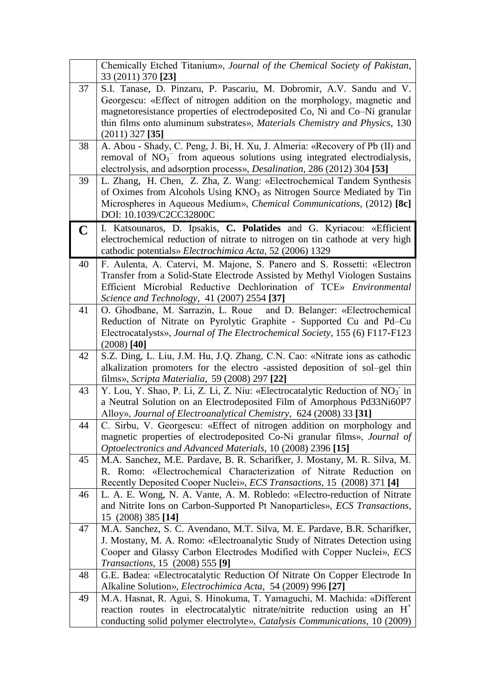|             | Chemically Etched Titanium», Journal of the Chemical Society of Pakistan,<br>33 (2011) 370 [23] |  |
|-------------|-------------------------------------------------------------------------------------------------|--|
| 37          | S.I. Tanase, D. Pinzaru, P. Pascariu, M. Dobromir, A.V. Sandu and V.                            |  |
|             | Georgescu: «Effect of nitrogen addition on the morphology, magnetic and                         |  |
|             | magnetoresistance properties of electrodeposited Co, Ni and Co–Ni granular                      |  |
|             | thin films onto aluminum substrates», Materials Chemistry and Physics, 130                      |  |
|             | $(2011)$ 327 [35]                                                                               |  |
| 38          | A. Abou - Shady, C. Peng, J. Bi, H. Xu, J. Almeria: «Recovery of Pb (II) and                    |  |
|             | removal of $NO3-$ from aqueous solutions using integrated electrodialysis,                      |  |
|             | electrolysis, and adsorption process», Desalination, 286 (2012) 304 [53]                        |  |
| 39          | L. Zhang, H. Chen, Z. Zha, Z. Wang: «Electrochemical Tandem Synthesis                           |  |
|             | of Oximes from Alcohols Using KNO <sub>3</sub> as Nitrogen Source Mediated by Tin               |  |
|             | Microspheres in Aqueous Medium», Chemical Communications, (2012) [8c]                           |  |
|             | DOI: 10.1039/C2CC32800C                                                                         |  |
| $\mathbf C$ | I. Katsounaros, D. Ipsakis, C. Polatides and G. Kyriacou: «Efficient                            |  |
|             | electrochemical reduction of nitrate to nitrogen on tin cathode at very high                    |  |
|             | cathodic potentials» Electrochimica Acta, 52 (2006) 1329                                        |  |
| 40          | F. Aulenta, A. Catervi, M. Majone, S. Panero and S. Rossetti: «Electron                         |  |
|             | Transfer from a Solid-State Electrode Assisted by Methyl Viologen Sustains                      |  |
|             | Efficient Microbial Reductive Dechlorination of TCE» Environmental                              |  |
|             | Science and Technology, 41 (2007) 2554 [37]                                                     |  |
| 41          | O. Ghodbane, M. Sarrazin, L. Roue<br>and D. Belanger: «Electrochemical                          |  |
|             | Reduction of Nitrate on Pyrolytic Graphite - Supported Cu and Pd-Cu                             |  |
|             | Electrocatalysts», Journal of The Electrochemical Society, 155 (6) F117-F123<br>$(2008)$ [40]   |  |
| 42          | S.Z. Ding, L. Liu, J.M. Hu, J.Q. Zhang, C.N. Cao: «Nitrate ions as cathodic                     |  |
|             | alkalization promoters for the electro -assisted deposition of sol-gel thin                     |  |
|             | films», Scripta Materialia, 59 (2008) 297 [22]                                                  |  |
| 43          | Y. Lou, Y. Shao, P. Li, Z. Li, Z. Niu: «Electrocatalytic Reduction of $NO3$ in                  |  |
|             | a Neutral Solution on an Electrodeposited Film of Amorphous Pd33Ni60P7                          |  |
|             | Alloy», Journal of Electroanalytical Chemistry, 624 (2008) 33 [31]                              |  |
| 44          | C. Sirbu, V. Georgescu: «Effect of nitrogen addition on morphology and                          |  |
|             | magnetic properties of electrodeposited Co-Ni granular films», Journal of                       |  |
|             | Optoelectronics and Advanced Materials, 10 (2008) 2396 [15]                                     |  |
| 45          | M.A. Sanchez, M.E. Pardave, B. R. Scharifker, J. Mostany, M. R. Silva, M.                       |  |
|             | R. Romo: «Electrochemical Characterization of Nitrate Reduction on                              |  |
|             | Recently Deposited Cooper Nuclei», ECS Transactions, 15 (2008) 371 [4]                          |  |
| 46          | L. A. E. Wong, N. A. Vante, A. M. Robledo: «Electro-reduction of Nitrate                        |  |
|             | and Nitrite Ions on Carbon-Supported Pt Nanoparticles», ECS Transactions,                       |  |
| 47          | 15 (2008) 385 [14]<br>M.A. Sanchez, S. C. Avendano, M.T. Silva, M. E. Pardave, B.R. Scharifker, |  |
|             | J. Mostany, M. A. Romo: «Electroanalytic Study of Nitrates Detection using                      |  |
|             | Cooper and Glassy Carbon Electrodes Modified with Copper Nuclei», ECS                           |  |
|             | <i>Transactions</i> , 15 (2008) 555 [9]                                                         |  |
| 48          | G.E. Badea: «Electrocatalytic Reduction Of Nitrate On Copper Electrode In                       |  |
|             | Alkaline Solution», <i>Electrochimica Acta</i> , 54 (2009) 996 [27]                             |  |
| 49          | M.A. Hasnat, R. Agui, S. Hinokuma, T. Yamaguchi, M. Machida: «Different                         |  |
|             | reaction routes in electrocatalytic nitrate/nitrite reduction using an $H^+$                    |  |
|             | conducting solid polymer electrolyte», Catalysis Communications, 10 (2009)                      |  |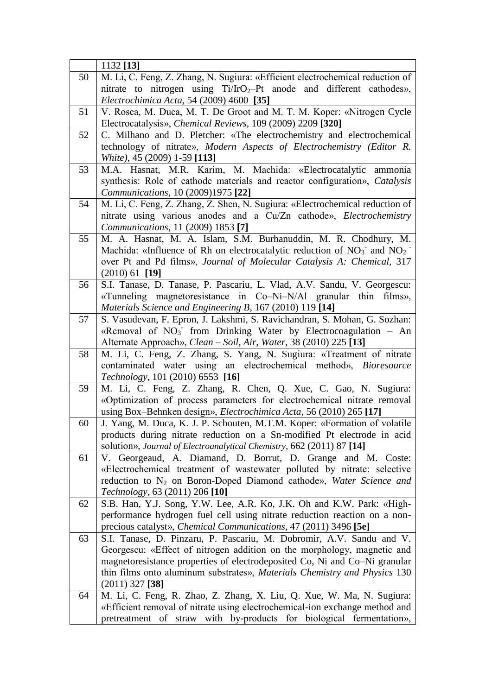|    | 1132 [13]                                                                                                                                |
|----|------------------------------------------------------------------------------------------------------------------------------------------|
| 50 | M. Li, C. Feng, Z. Zhang, N. Sugiura: «Efficient electrochemical reduction of                                                            |
|    | nitrate to nitrogen using $Ti/IrO_2-Pt$ anode and different cathodes»,                                                                   |
|    | Electrochimica Acta, 54 (2009) 4600 [35]                                                                                                 |
| 51 | V. Rosca, M. Duca, M. T. De Groot and M. T. M. Koper: «Nitrogen Cycle                                                                    |
|    | Electrocatalysis», Chemical Reviews, 109 (2009) 2209 [320]                                                                               |
| 52 | C. Milhano and D. Pletcher: «The electrochemistry and electrochemical                                                                    |
|    | technology of nitrate», Modern Aspects of Electrochemistry (Editor R.                                                                    |
|    | White), 45 (2009) 1-59 [113]                                                                                                             |
| 53 | M.A. Hasnat, M.R. Karim, M. Machida: «Electrocatalytic ammonia                                                                           |
|    | synthesis: Role of cathode materials and reactor configuration», Catalysis                                                               |
|    | Communications, 10 (2009)1975 [22]                                                                                                       |
| 54 | M. Li, C. Feng, Z. Zhang, Z. Shen, N. Sugiura: «Electrochemical reduction of                                                             |
|    | nitrate using various anodes and a Cu/Zn cathode», Electrochemistry                                                                      |
|    | Communications, 11 (2009) 1853 [7]                                                                                                       |
| 55 | M. A. Hasnat, M. A. Islam, S.M. Burhanuddin, M. R. Chodhury, M.                                                                          |
|    | Machida: «Influence of Rh on electrocatalytic reduction of $NO_3^-$ and $NO_2^-$                                                         |
|    | over Pt and Pd films», Journal of Molecular Catalysis A: Chemical, 317<br>$(2010)$ 61 [19]                                               |
| 56 | S.I. Tanase, D. Tanase, P. Pascariu, L. Vlad, A.V. Sandu, V. Georgescu:                                                                  |
|    | «Tunneling magnetoresistance in Co-Ni-N/Al granular thin films»,                                                                         |
|    | Materials Science and Engineering B, 167 (2010) 119 [14]                                                                                 |
| 57 | S. Vasudevan, F. Epron, J. Lakshmi, S. Ravichandran, S. Mohan, G. Sozhan:                                                                |
|    | «Removal of NO <sub>3</sub> from Drinking Water by Electrocoagulation - An                                                               |
|    | Alternate Approach», Clean – Soil, Air, Water, 38 (2010) 225 [13]                                                                        |
| 58 | M. Li, C. Feng, Z. Zhang, S. Yang, N. Sugiura: «Treatment of nitrate                                                                     |
|    | contaminated water using an electrochemical method», Bioresource                                                                         |
|    | Technology, 101 (2010) 6553 [16]                                                                                                         |
| 59 | M. Li, C. Feng, Z. Zhang, R. Chen, Q. Xue, C. Gao, N. Sugiura:                                                                           |
|    | «Optimization of process parameters for electrochemical nitrate removal                                                                  |
|    | using Box-Behnken design», Electrochimica Acta, 56 (2010) 265 [17]                                                                       |
| 60 | J. Yang, M. Duca, K. J. P. Schouten, M.T.M. Koper: «Formation of volatile                                                                |
|    | products during nitrate reduction on a Sn-modified Pt electrode in acid                                                                  |
| 61 | solution», Journal of Electroanalytical Chemistry, 662 (2011) 87 [14]<br>V. Georgeaud, A. Diamand, D. Borrut, D. Grange and M.<br>Coste: |
|    | «Electrochemical treatment of wastewater polluted by nitrate: selective                                                                  |
|    | reduction to N <sub>2</sub> on Boron-Doped Diamond cathode», Water Science and                                                           |
|    | <i>Technology</i> , 63 (2011) 206 [10]                                                                                                   |
| 62 | S.B. Han, Y.J. Song, Y.W. Lee, A.R. Ko, J.K. Oh and K.W. Park: «High-                                                                    |
|    | performance hydrogen fuel cell using nitrate reduction reaction on a non-                                                                |
|    | precious catalyst», <i>Chemical Communications</i> , 47 (2011) 3496 [5e]                                                                 |
| 63 | S.I. Tanase, D. Pinzaru, P. Pascariu, M. Dobromir, A.V. Sandu and V.                                                                     |
|    | Georgescu: «Effect of nitrogen addition on the morphology, magnetic and                                                                  |
|    | magnetoresistance properties of electrodeposited Co, Ni and Co-Ni granular                                                               |
|    | thin films onto aluminum substrates», Materials Chemistry and Physics 130                                                                |
|    | $(2011)$ 327 [38]                                                                                                                        |
| 64 | M. Li, C. Feng, R. Zhao, Z. Zhang, X. Liu, Q. Xue, W. Ma, N. Sugiura:                                                                    |
|    | «Efficient removal of nitrate using electrochemical-ion exchange method and                                                              |
|    | pretreatment of straw with by-products for biological fermentation»,                                                                     |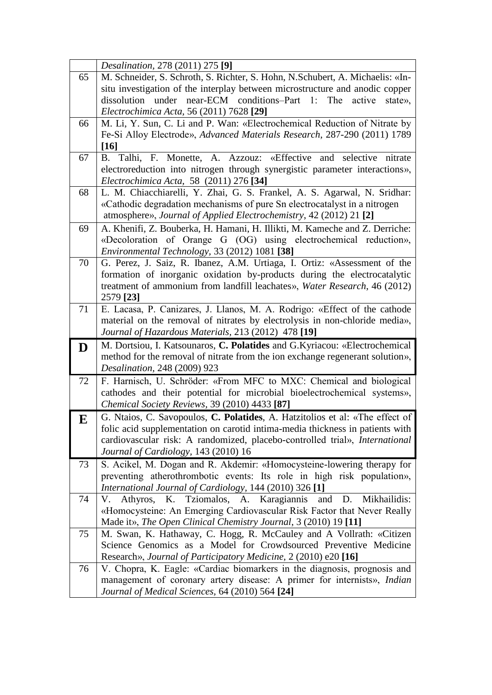|           | <i>Desalination, 278 (2011) 275</i> [9]                                                                                    |  |  |
|-----------|----------------------------------------------------------------------------------------------------------------------------|--|--|
| 65        | M. Schneider, S. Schroth, S. Richter, S. Hohn, N. Schubert, A. Michaelis: «In-                                             |  |  |
|           | situ investigation of the interplay between microstructure and anodic copper                                               |  |  |
|           | under near-ECM conditions-Part 1:<br>The<br>dissolution<br>active<br>state»,                                               |  |  |
|           | Electrochimica Acta, 56 (2011) 7628 [29]                                                                                   |  |  |
| 66        | M. Li, Y. Sun, C. Li and P. Wan: «Electrochemical Reduction of Nitrate by                                                  |  |  |
|           | Fe-Si Alloy Electrode», Advanced Materials Research, 287-290 (2011) 1789                                                   |  |  |
|           | [16]                                                                                                                       |  |  |
| 67        | B. Talhi, F. Monette, A. Azzouz: «Effective and<br>selective nitrate                                                       |  |  |
|           | electroreduction into nitrogen through synergistic parameter interactions»,                                                |  |  |
|           | Electrochimica Acta, 58 (2011) 276 [34]                                                                                    |  |  |
| 68        | L. M. Chiacchiarelli, Y. Zhai, G. S. Frankel, A. S. Agarwal, N. Sridhar:                                                   |  |  |
|           | «Cathodic degradation mechanisms of pure Sn electrocatalyst in a nitrogen                                                  |  |  |
|           | atmosphere», Journal of Applied Electrochemistry, 42 (2012) 21 <sup>[2]</sup>                                              |  |  |
| 69        | A. Khenifi, Z. Bouberka, H. Hamani, H. Illikti, M. Kameche and Z. Derriche:                                                |  |  |
|           | «Decoloration of Orange G (OG) using electrochemical reduction»,                                                           |  |  |
|           | Environmental Technology, 33 (2012) 1081 [38]                                                                              |  |  |
| 70        | G. Perez, J. Saiz, R. Ibanez, A.M. Urtiaga, I. Ortiz: «Assessment of the                                                   |  |  |
|           | formation of inorganic oxidation by-products during the electrocatalytic                                                   |  |  |
|           | treatment of ammonium from landfill leachates», Water Research, 46 (2012)                                                  |  |  |
|           | 2579 [23]                                                                                                                  |  |  |
| 71        | E. Lacasa, P. Canizares, J. Llanos, M. A. Rodrigo: «Effect of the cathode                                                  |  |  |
|           | material on the removal of nitrates by electrolysis in non-chloride media»,                                                |  |  |
|           | Journal of Hazardous Materials, 213 (2012) 478 [19]                                                                        |  |  |
| D         | M. Dortsiou, I. Katsounaros, C. Polatides and G. Kyriacou: «Electrochemical                                                |  |  |
|           | method for the removal of nitrate from the ion exchange regenerant solution»,                                              |  |  |
|           | Desalination, 248 (2009) 923                                                                                               |  |  |
| 72        | F. Harnisch, U. Schröder: «From MFC to MXC: Chemical and biological                                                        |  |  |
|           | cathodes and their potential for microbial bioelectrochemical systems»,                                                    |  |  |
|           | Chemical Society Reviews, 39 (2010) 4433 [87]                                                                              |  |  |
| ${\bf E}$ | G. Ntaios, C. Savopoulos, C. Polatides, A. Hatzitolios et al: «The effect of                                               |  |  |
|           | folic acid supplementation on carotid intima-media thickness in patients with                                              |  |  |
|           | cardiovascular risk: A randomized, placebo-controlled trial», International                                                |  |  |
|           | Journal of Cardiology, 143 (2010) 16                                                                                       |  |  |
| 73        | S. Acikel, M. Dogan and R. Akdemir: «Homocysteine-lowering therapy for                                                     |  |  |
|           | preventing atherothrombotic events: Its role in high risk population»,                                                     |  |  |
|           | International Journal of Cardiology, 144 (2010) 326 [1]<br>V.                                                              |  |  |
| 74        | K. Tziomalos, A. Karagiannis<br>Athyros,<br>and<br>Mikhailidis:<br>D.                                                      |  |  |
|           |                                                                                                                            |  |  |
|           | «Homocysteine: An Emerging Cardiovascular Risk Factor that Never Really                                                    |  |  |
|           | Made it», The Open Clinical Chemistry Journal, 3 (2010) 19 [11]                                                            |  |  |
| 75        | M. Swan, K. Hathaway, C. Hogg, R. McCauley and A Vollrath: «Citizen                                                        |  |  |
|           | Science Genomics as a Model for Crowdsourced Preventive Medicine                                                           |  |  |
|           | Research», Journal of Participatory Medicine, 2 (2010) e20 [16]                                                            |  |  |
| 76        | V. Chopra, K. Eagle: «Cardiac biomarkers in the diagnosis, prognosis and                                                   |  |  |
|           | management of coronary artery disease: A primer for internists», Indian<br>Journal of Medical Sciences, 64 (2010) 564 [24] |  |  |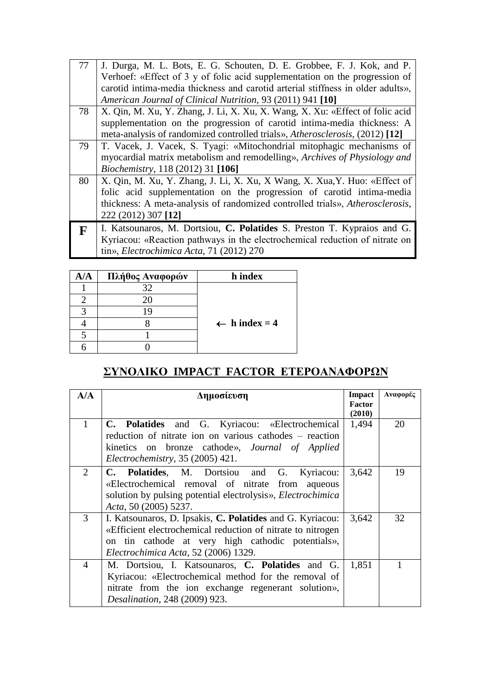| 77 | J. Durga, M. L. Bots, E. G. Schouten, D. E. Grobbee, F. J. Kok, and P.          |
|----|---------------------------------------------------------------------------------|
|    | Verhoef: «Effect of 3 y of folic acid supplementation on the progression of     |
|    | carotid intima-media thickness and carotid arterial stiffness in older adults», |
|    | American Journal of Clinical Nutrition, 93 (2011) 941 [10]                      |
| 78 | X. Qin, M. Xu, Y. Zhang, J. Li, X. Xu, X. Wang, X. Xu: «Effect of folic acid    |
|    | supplementation on the progression of carotid intima-media thickness: A         |
|    | meta-analysis of randomized controlled trials», Atherosclerosis, (2012) [12]    |
| 79 | T. Vacek, J. Vacek, S. Tyagi: «Mitochondrial mitophagic mechanisms of           |
|    | myocardial matrix metabolism and remodelling», Archives of Physiology and       |
|    | <i>Biochemistry</i> , 118 (2012) 31 [106]                                       |
| 80 | X. Qin, M. Xu, Y. Zhang, J. Li, X. Xu, X Wang, X. Xua, Y. Huo: «Effect of       |
|    | folic acid supplementation on the progression of carotid intima-media           |
|    | thickness: A meta-analysis of randomized controlled trials», Atherosclerosis,   |
|    | 222 (2012) 307 [12]                                                             |
| F  | I. Katsounaros, M. Dortsiou, C. Polatides S. Preston T. Kypraios and G.         |
|    | Kyriacou: «Reaction pathways in the electrochemical reduction of nitrate on     |
|    | tin», Electrochimica Acta, 71 (2012) 270                                        |

| Δ/A | Πλήθος Αναφορών | h index                  |
|-----|-----------------|--------------------------|
|     | 37              |                          |
|     |                 |                          |
|     |                 |                          |
|     |                 | $\leftarrow$ h index = 4 |
|     |                 |                          |
|     |                 |                          |

# ΣΥΝΟΛΙΚΟ **IMPACT FACTOR ΕΤΕΡΟΑΝΑΦΟΡΩΝ**

| A/A            | Δημοσίευση                                                                                                                                                                                                            | Impact<br><b>Factor</b><br>(2010) | Αναφορές |
|----------------|-----------------------------------------------------------------------------------------------------------------------------------------------------------------------------------------------------------------------|-----------------------------------|----------|
| $\mathbf{1}$   | C. Polatides and G. Kyriacou: «Electrochemical<br>reduction of nitrate ion on various cathodes - reaction<br>kinetics on bronze cathode», Journal of Applied<br>Electrochemistry, 35 (2005) 421.                      | 1,494                             | 20       |
| $\overline{2}$ | C. Polatides, M. Dortsiou and G. Kyriacou:<br>«Electrochemical removal of nitrate from aqueous<br>solution by pulsing potential electrolysis», <i>Electrochimica</i><br>Acta, 50 (2005) 5237.                         | 3,642                             | 19       |
| 3              | I. Katsounaros, D. Ipsakis, C. Polatides and G. Kyriacou:<br>«Efficient electrochemical reduction of nitrate to nitrogen<br>on tin cathode at very high cathodic potentials»,<br>Electrochimica Acta, 52 (2006) 1329. | 3,642                             | 32       |
| $\overline{4}$ | M. Dortsiou, I. Katsounaros, C. Polatides and G.<br>Kyriacou: «Electrochemical method for the removal of<br>nitrate from the ion exchange regenerant solution»,<br><i>Desalination, 248 (2009) 923.</i>               | 1,851                             |          |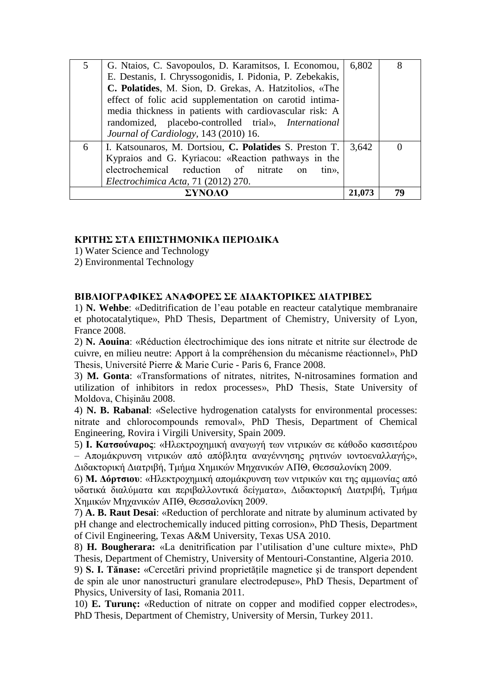| 5 | G. Ntaios, C. Savopoulos, D. Karamitsos, I. Economou,          | 6,802  | 8  |
|---|----------------------------------------------------------------|--------|----|
|   | E. Destanis, I. Chryssogonidis, I. Pidonia, P. Zebekakis,      |        |    |
|   | C. Polatides, M. Sion, D. Grekas, A. Hatzitolios, «The         |        |    |
|   | effect of folic acid supplementation on carotid intima-        |        |    |
|   | media thickness in patients with cardiovascular risk: A        |        |    |
|   | randomized, placebo-controlled trial», International           |        |    |
|   | Journal of Cardiology, 143 (2010) 16.                          |        |    |
| 6 | I. Katsounaros, M. Dortsiou, C. Polatides S. Preston T.        | 3.642  |    |
|   | Kypraios and G. Kyriacou: «Reaction pathways in the            |        |    |
|   | electrochemical reduction of nitrate<br>$\lim_{\lambda}$<br>on |        |    |
|   | Electrochimica Acta, 71 (2012) 270.                            |        |    |
|   |                                                                | 21,073 | 79 |

#### **ΚΡΙΤΗΣ ΣΤΑ ΕΠΙΣΤΗΜΟΝΙΚΑ ΠΕΡΙΟΔΙΚΑ**

1) Water Science and Technology

2) Environmental Technology

#### **ΒΙΒΛΙΟΓΡΑΦΙΚΕΣ ΑΝΑΦΟΡΕΣ ΣΕ ΛΙΛΑΚΤΟΡΙΚΕΣ ΛΙΑΤΡΙΒΕΣ**

1) **N. Wehbe**: «Deditrification de l'eau potable en reacteur catalytique membranaire et photocatalytique», PhD Thesis, Department of Chemistry, University of Lyon, France 2008.

2) **N. Aouina**: «Réduction électrochimique des ions nitrate et nitrite sur électrode de cuivre, en milieu neutre: Apport à la compréhension du mécanisme réactionnel», PhD Thesis, Université Pierre & Marie Curie - Paris 6, France 2008.

3) **M. Gonta**: «Transformations of nitrates, nitrites, N-nitrosamines formation and utilization of inhibitors in redox processes», PhD Thesis, State University of Moldova, Chişinău 2008.

4) **N. B. Rabanal**: «Selective hydrogenation catalysts for environmental processes: nitrate and chlorocompounds removal», PhD Thesis, Department of Chemical Engineering, Rovira i Virgili University, Spain 2009.

5) **Ι. Κατσούναρος**: «Ηλεκτροχημική αναγωγή των νιτρικών σε κάθοδο κασσιτέρου – Απομάκρυνση νιτρικών από απόβλητα αναγέννησης ρητινών ιοντοεναλλαγής», Διδακτορική Διατριβή, Τμήμα Χημικών Μηχανικών ΑΠΘ, Θεσσαλονίκη 2009.

6) **Μ. Δόρτσιο**υ: «Ηλεκτροχημική απομάκρυνση των νιτρικών και της αμμωνίας από υδατικά διαλύματα και περιβαλλοντικά δείγματα», Διδακτορική Διατριβή, Τμήμα Χημικών Μηγανικών ΑΠΘ, Θεσσαλονίκη 2009.

7) **A. B. Raut Desai**: «Reduction of perchlorate and nitrate by aluminum activated by pH change and electrochemically induced pitting corrosion», PhD Thesis, Department of Civil Engineering, Texas A&M University, Texas USA 2010.

8) **H. Bougherara:** «La denitrification par l'utilisation d'une culture mixte», PhD Thesis, Department of Chemistry, University of Mentouri-Constantine, Algeria 2010.

9) **S. I. Tănase:** «Cercetări privind proprietăţile magnetice şi de transport dependent de spin ale unor nanostructuri granulare electrodepuse», PhD Thesis, Department of Physics, University of Iasi, Romania 2011.

10) **E. Turunç:** «Reduction of nitrate on copper and modified copper electrodes», PhD Thesis, Department of Chemistry, University of Mersin, Turkey 2011.